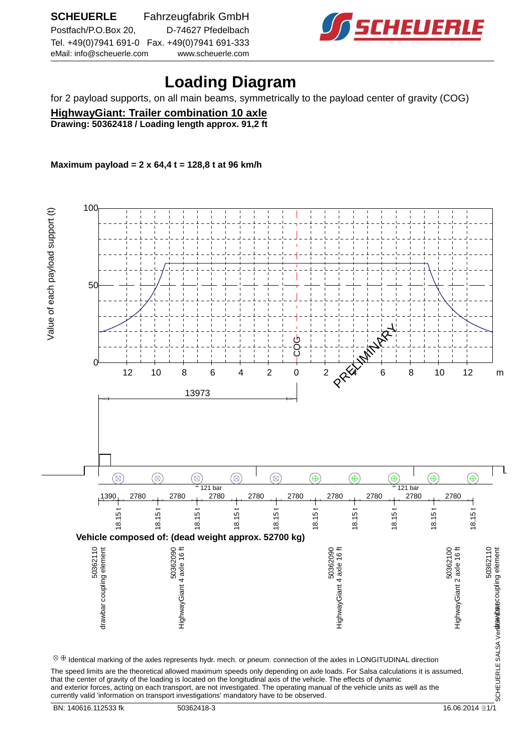

## **Loading Diagram**

for 2 payload supports, on all main beams, symmetrically to the payload center of gravity (COG)

**HighwayGiant: Trailer combination 10 axle Drawing: 50362418 / Loading length approx. 91,2 ft**

**Maximum payload = 2 x 64,4 t = 128,8 t at 96 km/h**



and exterior forces, acting on each transport, are not investigated. The operating manual of the vehicle units as well as the currently valid 'information on transport investigations' mandatory have to be observed.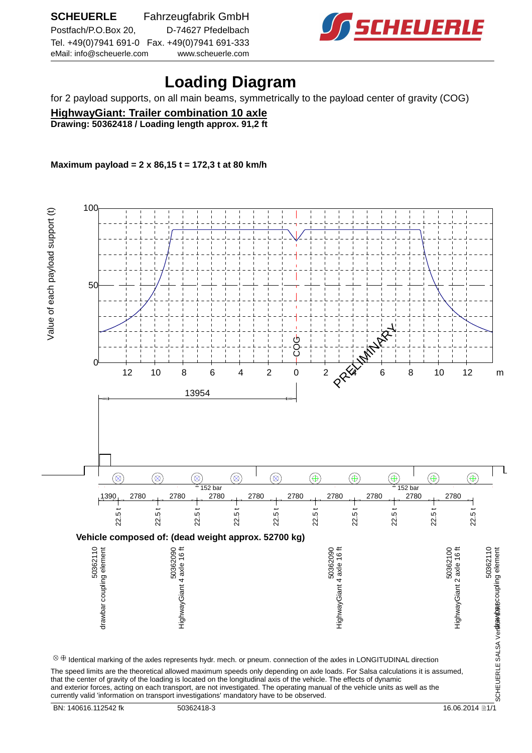

## **Loading Diagram**

for 2 payload supports, on all main beams, symmetrically to the payload center of gravity (COG)

**HighwayGiant: Trailer combination 10 axle Drawing: 50362418 / Loading length approx. 91,2 ft**

**Maximum payload = 2 x 86,15 t = 172,3 t at 80 km/h**

 100 Value of each payload support (t) Value of each payloge is entered. 50 PRELIMINARY COG  $0<sup>+</sup>$  12 10 8 6 4 2 0 2  $\alpha$  4 6 8 10 12 m 13954  $\circledR$  $\circledR$  $\circledR$  $\circledR$  $\circledast$  $\circledR$  $^{\circledR}$  $^{\small\textcircled{\footnotesize{A}}}$  $^{\circledR}$  $\circledast$  $^{\circ}$  152 bar  $^{\circ}$  152 bar 1390 2780 <sub>212</sub> 2780 <sub>212</sub> 2780 <sub>212</sub> 2780 <sub>212</sub> 2780 <sub>212</sub> 2780 <sub>212</sub> 2780 <sub>212</sub> 2780 2<sub>12</sub> 2780 212 22.5 t 22.5 t 22.5 t 22.5 t 22.5 t 22.5 t 22.5 t 22.5 t 22.5 t 22.5 t **Vehicle composed of: (dead weight approx. 52700 kg)** 50362110<br>SCHEUERLE SALSA Ver**sitavitas** coupling element 50362090<br>HighwayGiant 4 axle 16 ft 50362090<br>HighwayGiant 4 axle 16 ft 50362100<br>highwayGiant 2 axle 16 ft 50362110<br>drawbar coupling element drawbar coupling element HighwayGiant 4 axle 16 ft HighwayGiant 4 axle 16 ft HighwayGiant 2 axle 16 ft drawbar coupling element SCHEUERLE SALSA Ver**sitavicas**  $\otimes\oplus$  Identical marking of the axles represents hydr. mech. or pneum. connection of the axles in LONGITUDINAL direction The speed limits are the theoretical allowed maximum speeds only depending on axle loads. For Salsa calculations it is assumed,

that the center of gravity of the loading is located on the longitudinal axis of the vehicle. The effects of dynamic and exterior forces, acting on each transport, are not investigated. The operating manual of the vehicle units as well as the currently valid 'information on transport investigations' mandatory have to be observed.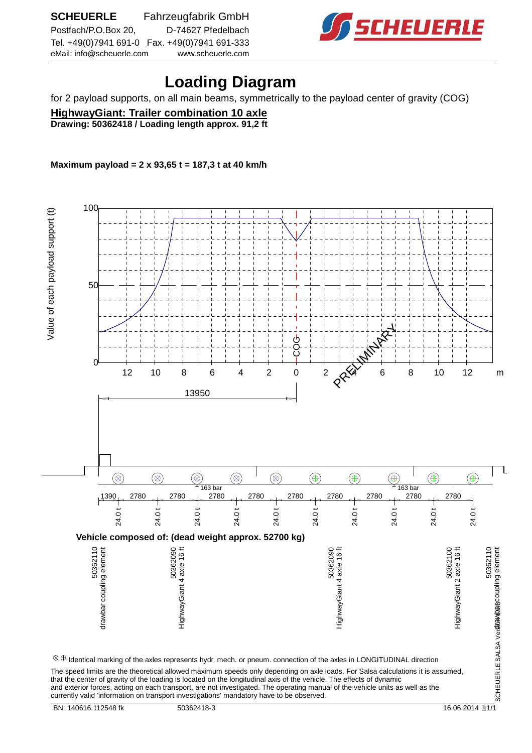

## **Loading Diagram**

for 2 payload supports, on all main beams, symmetrically to the payload center of gravity (COG)

**HighwayGiant: Trailer combination 10 axle Drawing: 50362418 / Loading length approx. 91,2 ft**

**Maximum payload = 2 x 93,65 t = 187,3 t at 40 km/h**

 100 Value of each payload support (t) Value of each payloge is entered. 50 PRELIMINARY COG  $0<sup>+</sup>$  12 10 8 6 4 2 0 2  $\alpha$  4 6 8 10 12 m 13950  $\circledR$  $\circledR$  $\circledR$  $\circledR$  $\circledR$  $^{\circledR}$  $^{\small\textcircled{\footnotesize{A}}}$  $^{\circledR}$  $\circledast$  $\circledast$  $^{\circ}$  163 bar  $^{\circ}$  163 bar 1390 2780 <sub>212</sub> 2780 <sub>212</sub> 2780 <sub>212</sub> 2780 <sub>212</sub> 2780 <sub>212</sub> 2780 <sub>212</sub> 2780 <sub>212</sub> 2780 2<sub>12</sub> 2780 212 24.0 t 24.0 t 24.0 t 24.0 t 24.0 t 24.0 t 24.0 t 24.0 t 24.0 t 24.0 t **Vehicle composed of: (dead weight approx. 52700 kg)** 50362110<br>SCHEUERLE SALSA Ver**sitavitas** coupling element 50362090<br>HighwayGiant 4 axle 16 ft 50362090<br>HighwayGiant 4 axle 16 ft 50362100<br>highwayGiant 2 axle 16 ft 50362110<br>drawbar coupling element drawbar coupling element HighwayGiant 4 axle 16 ft HighwayGiant 4 axle 16 ft HighwayGiant 2 axle 16 ft drawbar coupling element SCHEUERLE SALSA Ver**sitavicas**  $\otimes\oplus$  Identical marking of the axles represents hydr. mech. or pneum. connection of the axles in LONGITUDINAL direction The speed limits are the theoretical allowed maximum speeds only depending on axle loads. For Salsa calculations it is assumed, that the center of gravity of the loading is located on the longitudinal axis of the vehicle. The effects of dynamic

and exterior forces, acting on each transport, are not investigated. The operating manual of the vehicle units as well as the currently valid 'information on transport investigations' mandatory have to be observed.